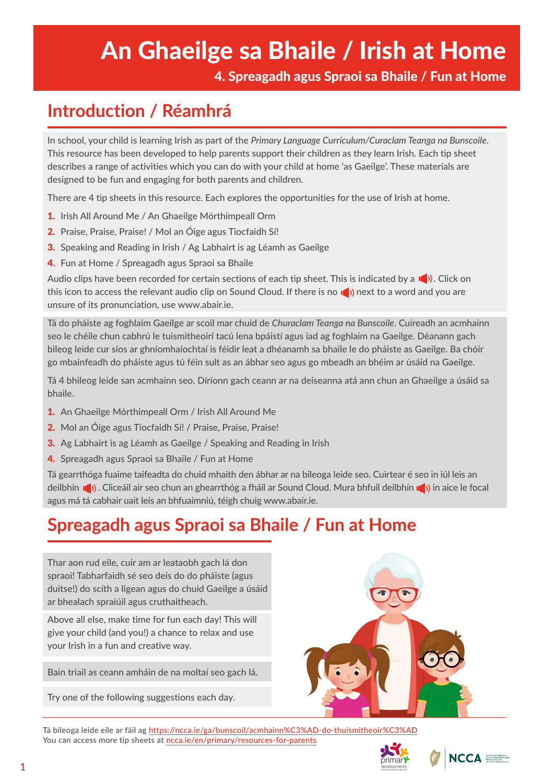# An Ghaeilge sa Bhaile / Irish at Home

4. Spreagadh agus Spraoi sa Bhaile / Fun at Home

### **Introduction / Réamhrá**

In school, your child is learning Irish as part of the *Primary Language Curriculum/Curaclam Teanga na Bunscoile*. This resource has been developed to help parents support their children as they learn Irish. Each tip sheet describes a range of activities which you can do with your child at home 'as Gaeilge'. These materials are designed to be fun and engaging for both parents and children.

There are 4 tip sheets in this resource. Each explores the opportunities for the use of Irish at home.

- 1. Irish All Around Me / An Ghaeilge Mórthimpeall Orm
- 2. Praise, Praise, Praise! / Mol an Óige agus Tiocfaidh Sí!
- **3.** Speaking and Reading in Irish / Ag Labhairt is ag Léamh as Gaeilge
- 4. Fun at Home / Spreagadh agus Spraoi sa Bhaile

Audio clips have been recorded for certain sections of each tip sheet. This is indicated by a  $\Box$ ). Click on this icon to access the relevant audio clip on Sound Cloud. If there is no  $\left| \right|$ ) next to a word and you are unsure of its pronunciation, use www.abair.ie.

Tá do pháiste ag foghlaim Gaeilge ar scoil mar chuid de *Churaclam Teanga na Bunscoile*. Cuireadh an acmhainn seo le chéile chun cabhrú le tuismitheoirí tacú lena bpáistí agus iad ag foghlaim na Gaeilge. Déanann gach bileog leide cur síos ar ghníomhaíochtaí is féidir leat a dhéanamh sa bhaile le do pháiste as Gaeilge. Ba chóir go mbainfeadh do pháiste agus tú féin sult as an ábhar seo agus go mbeadh an bhéim ar úsáid na Gaeilge.

Tá 4 bhileog leide san acmhainn seo. Díríonn gach ceann ar na deiseanna atá ann chun an Ghaeilge a úsáid sa bhaile.

- 1. An Ghaeilge Mórthimpeall Orm / Irish All Around Me
- 2. Mol an Óige agus Tiocfaidh Sí! / Praise, Praise, Praise!
- **3.** Ag Labhairt is ag Léamh as Gaeilge / Speaking and Reading in Irish
- 4. Spreagadh agus Spraoi sa Bhaile / Fun at Home

Tá gearrthóga fuaime taifeadta do chuid mhaith den ábhar ar na bileoga leide seo. Cuirtear é seo in iúl leis an deilbhín  $\Box$ ). Cliceáil air seo chun an ghearrthóg a fháil ar Sound Cloud. Mura bhfuil deilbhín  $\Box$ ) in aice le focal agus má tá cabhair uait leis an bhfuaimniú, téigh chuig www.abair.ie.

## **Spreagadh agus Spraoi sa Bhaile / Fun at Home**

Thar aon rud eile, cuir am ar leataobh gach lá don spraoi! Tabharfaidh sé seo deis do do pháiste (agus duitse!) do scíth a ligean agus do chuid Gaeilge a úsáid ar bhealach spraíúil agus cruthaitheach.

Above all else, make time for fun each day! This will give your child (and you!) a chance to relax and use your Irish in a fun and creative way.

Bain triail as ceann amháin de na moltaí seo gach lá.

Try one of the following suggestions each day.



Tá bileoga leide eile ar fáil ag <https://ncca.ie/ga/bunscoil/acmhainn%C3%AD-do-thuismitheoir%C3%AD> You can access more tip sheets at [ncca.ie/en/primary/resources-for-parents](https://ncca.ie/en/primary/resources-for-parents/)

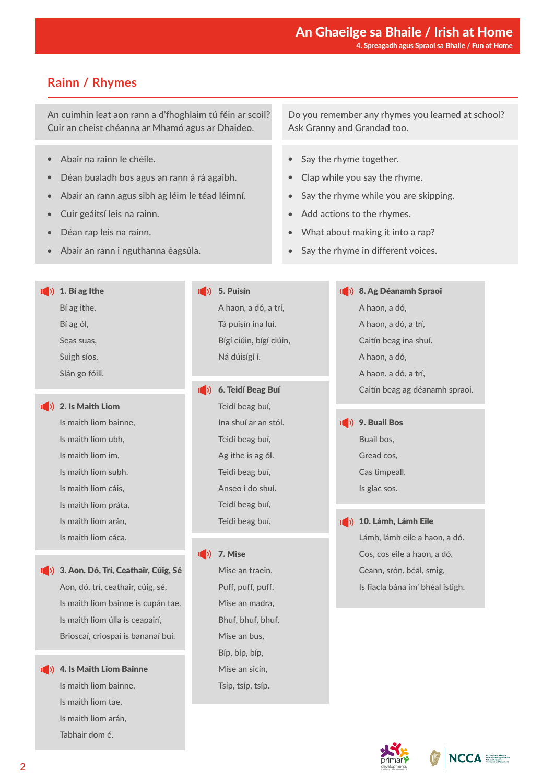#### **Rainn / Rhymes**

An cuimhin leat aon rann a d'fhoghlaim tú féin ar scoil? Cuir an cheist chéanna ar Mhamó agus ar Dhaideo.

- Abair na rainn le chéile.
- Déan bualadh bos agus an rann á rá agaibh.
- Abair an rann agus sibh ag léim le téad léimní.
- Cuir geáitsí leis na rainn.
- Déan rap leis na rainn.
- Abair an rann i nguthanna éagsúla.

Do you remember any rhymes you learned at school? Ask Granny and Grandad too.

- Say the rhyme together.
- Clap while you say the rhyme.
- Say the rhyme while you are skipping.
- Add actions to the rhymes.
- What about making it into a rap?
- Say the rhyme in different voices.

 $\ket{\ket{\bullet}}$  9. Buail Bos

 $\ket{\hspace{1pt}}$  1. Bí ag Ithe

Bí ag ithe, Bí ag ól,

Seas suas,

Suigh síos,

Slán go fóill.

1<sup>(1)</sup> 2. Is Maith Liom

Is maith liom bainne, Is maith liom ubh, Is maith liom im, Is maith liom subh. Is maith liom cáis, Is maith liom práta, Is maith liom arán, Is maith liom cáca.

1<sup>(1)</sup> 3. Aon, Dó, Trí, Ceathair, Cúig, Sé Aon, dó, trí, ceathair, cúig, sé, Is maith liom bainne is cupán tae. Is maith liom úlla is ceapairí, Brioscaí, criospaí is bananaí buí.

1<sup>(1)</sup> 4. Is Maith Liom Bainne Is maith liom bainne, Is maith liom tae, Is maith liom arán, Tabhair dom é.

 $\ket{\ket}$  5. Puisín A haon, a dó, a trí, Tá puisín ina luí. Bígí ciúin, bígí ciúin, Ná dúisígí í.

1<sup>(1)</sup> 6. Teidí Beag Buí

Teidí beag buí, Ina shuí ar an stól. Teidí beag buí, Ag ithe is ag ól. Teidí beag buí, Anseo i do shuí. Teidí beag buí, Teidí beag buí.

 $\begin{pmatrix} 1 \\ 2 \end{pmatrix}$  7. Mise Mise an traein, Puff, puff, puff. Mise an madra, Bhuf, bhuf, bhuf. Mise an bus, Bíp, bíp, bíp, Mise an sicín, Tsíp, tsíp, tsíp.

**8. Ag Déanamh Spraoi** A haon, a dó, A haon, a dó, a trí, Caitín beag ina shuí. A haon, a dó, A haon, a dó, a trí, Caitín beag ag déanamh spraoi.

Buail bos, Gread cos, Cas timpeall, Is glac sos. 1<sup>(a)</sup> 10. Lámh, Lámh Eile Lámh, lámh eile a haon, a dó. Cos, cos eile a haon, a dó.





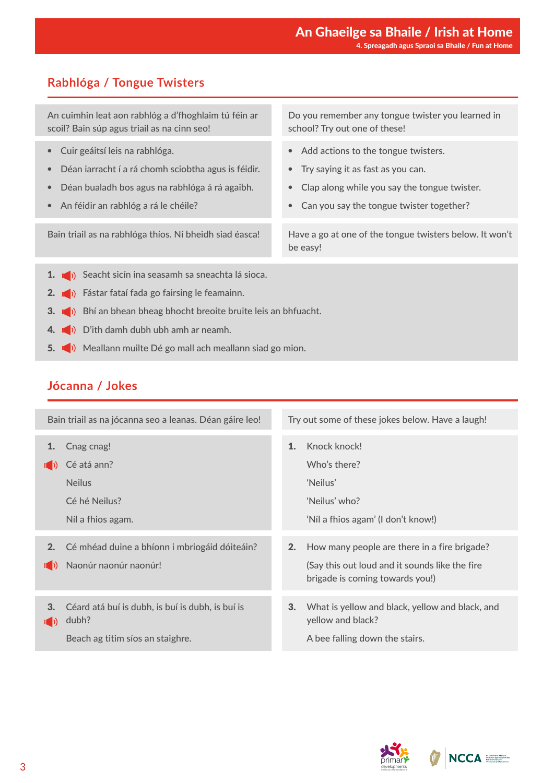#### **Rabhlóga / Tongue Twisters**

An cuimhin leat aon rabhlóg a d'fhoghlaim tú féin ar scoil? Bain súp agus triail as na cinn seo!

- Cuir geáitsí leis na rabhlóga.
- Déan iarracht í a rá chomh sciobtha agus is féidir.
- Déan bualadh bos agus na rabhlóga á rá agaibh.
- An féidir an rabhlóg a rá le chéile?

Bain triail as na rabhlóga thíos. Ní bheidh siad éasca!

Do you remember any tongue twister you learned in school? Try out one of these!

- Add actions to the tongue twisters.
- Try saying it as fast as you can.
- Clap along while you say the tongue twister.
- Can you say the tongue twister together?

Have a go at one of the tongue twisters below. It won't be easy!

- 1. (b) Seacht sicín ina seasamh sa sneachta lá sioca.
- 2. **(b)** Fástar fataí fada go fairsing le feamainn.
- 3. **(b)** Bhí an bhean bheag bhocht breoite bruite leis an bhfuacht.
- 4. **I** D'ith damh dubh ubh amh ar neamh.
- 5. Mailann muilte Dé go mall ach meallann siad go mion.

#### **Jócanna / Jokes**

| Try out some of these jokes below. Have a laugh!                                                                                  |
|-----------------------------------------------------------------------------------------------------------------------------------|
| Knock knock!<br>Who's there?<br>'Neilus'<br>'Neilus' who?<br>'Níl a fhios agam' (I don't know!)                                   |
| How many people are there in a fire brigade?<br>(Say this out loud and it sounds like the fire<br>brigade is coming towards you!) |
| What is yellow and black, yellow and black, and<br>yellow and black?<br>A bee falling down the stairs.                            |
|                                                                                                                                   |



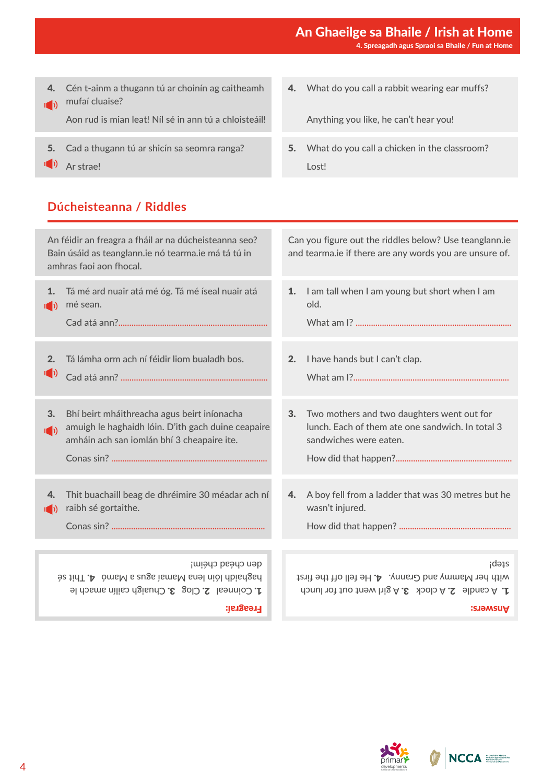#### An Ghaeilge sa Bhaile / Irish at Home 4. Spreagadh agus Spraoi sa Bhaile / Fun at Home

4. Cén t-ainm a thugann tú ar choinín ag caitheamh (b) mufaí cluaise?

Aon rud is mian leat! Níl sé in ann tú a chloisteáil!

- 5. Cad a thugann tú ar shicín sa seomra ranga?
- (a) Ar strae!

#### **Dúcheisteanna / Riddles**

4. What do you call a rabbit wearing ear muffs?

Anything you like, he can't hear you!

5. What do you call a chicken in the classroom? Lost!

| An féidir an freagra a fháil ar na dúcheisteanna seo?<br>Bain úsáid as teanglann.ie nó tearma.ie má tá tú in<br>amhras faoi aon fhocal.                                      | Can you figure out the riddles below? Use teanglann.ie<br>and tearma.ie if there are any words you are unsure of.                         |  |
|------------------------------------------------------------------------------------------------------------------------------------------------------------------------------|-------------------------------------------------------------------------------------------------------------------------------------------|--|
| Tá mé ard nuair atá mé óg. Tá mé íseal nuair atá<br>1.<br>mé sean.<br>$\mathbf{I}(\cdot)$                                                                                    | 1.<br>I am tall when I am young but short when I am<br>old.                                                                               |  |
| Tá lámha orm ach ní féidir liom bualadh bos.<br>2.<br>$\ket{(\cdot)}$                                                                                                        | I have hands but I can't clap.<br>2.                                                                                                      |  |
| 3.<br>Bhí beirt mháithreacha agus beirt iníonacha<br>amuigh le haghaidh lóin. D'ith gach duine ceapaire<br>$\mathbf{I}(\cdot)$<br>amháin ach san iomlán bhí 3 cheapaire ite. | 3.<br>Two mothers and two daughters went out for<br>lunch. Each of them ate one sandwich. In total 3<br>sandwiches were eaten.            |  |
| Thit buachaill beag de dhréimire 30 méadar ach ní<br>4.<br>raibh sé gortaithe.<br>$\mathbb{I}(\cdot)$                                                                        | A boy fell from a ladder that was 30 metres but he<br>4.<br>wasn't injured.                                                               |  |
| den chéad chéim!<br>be tinT.A omsM s augs ismsM snel niol dbisdgsd<br>1. Coinneal 2. Clog 3. Chuaigh cailín amach le<br><b>Freagrai:</b>                                     | steb;<br>with her Mammy and Granny. $A$ . He fell off the first<br>1. A candle 2. A clock 3. A girl went out for lunch<br><b>Answers:</b> |  |

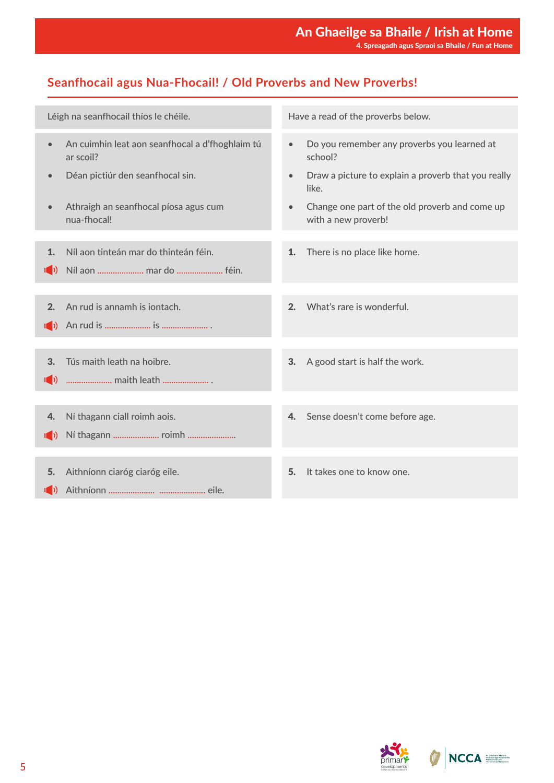### **Seanfhocail agus Nua-Fhocail! / Old Proverbs and New Proverbs!**

|                     | Léigh na seanfhocail thíos le chéile.                        |           | Have a read of the proverbs below.                                    |
|---------------------|--------------------------------------------------------------|-----------|-----------------------------------------------------------------------|
| $\bullet$           | An cuimhin leat aon seanfhocal a d'fhoghlaim tú<br>ar scoil? | $\bullet$ | Do you remember any proverbs you learned at<br>school?                |
|                     | Déan pictiúr den seanfhocal sin.                             | $\bullet$ | Draw a picture to explain a proverb that you really<br>like.          |
|                     | Athraigh an seanfhocal píosa agus cum<br>nua-fhocal!         |           | Change one part of the old proverb and come up<br>with a new proverb! |
|                     |                                                              |           |                                                                       |
| 1.                  | Níl aon tinteán mar do thinteán féin.                        | 1.        | There is no place like home.                                          |
| $\mathbb{I}(\cdot)$ | Níl aon  mar do  féin.                                       |           |                                                                       |
|                     |                                                              |           |                                                                       |
| 2.                  | An rud is annamh is jontach.                                 | 2.        | What's rare is wonderful.                                             |
|                     |                                                              |           |                                                                       |
|                     |                                                              |           |                                                                       |
|                     |                                                              |           |                                                                       |
| 3.                  | Tús maith leath na hoibre.                                   | 3.        | A good start is half the work.                                        |
| $\mathbb{I}(\cdot)$ | maith leath                                                  |           |                                                                       |
|                     |                                                              |           |                                                                       |
| 4.                  | Ní thagann ciall roimh aois.                                 | 4.        | Sense doesn't come before age.                                        |
| $\mathbb{I}$ )      |                                                              |           |                                                                       |
|                     |                                                              |           |                                                                       |
|                     |                                                              |           |                                                                       |
| 5.                  | Aithníonn ciaróg ciaróg eile.                                | 5.        | It takes one to know one.                                             |
|                     |                                                              |           |                                                                       |



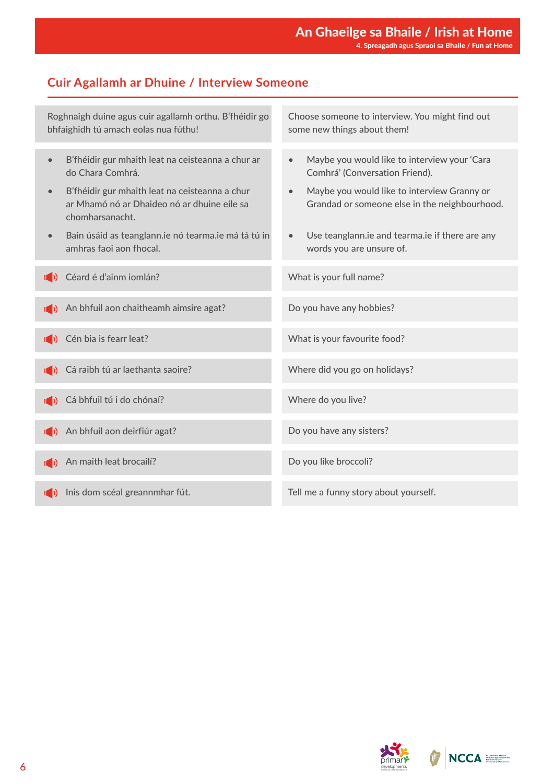#### **Cuir Agallamh ar Dhuine / Interview Someone**

Roghnaigh duine agus cuir agallamh orthu. B'fhéidir go bhfaighidh tú amach eolas nua fúthu! • B'fhéidir gur mhaith leat na ceisteanna a chur ar do Chara Comhrá. • B'fhéidir gur mhaith leat na ceisteanna a chur ar Mhamó nó ar Dhaideo nó ar dhuine eile sa chomharsanacht. • Bain úsáid as teanglann.ie nó tearma.ie má tá tú in amhras faoi aon fhocal. Céard é d'ainm iomlán? (b) Cá raibh tú ar laethanta saoire? (a) An bhfuil aon deirfiúr agat? (b) An maith leat brocailí? I<sup>n</sup>) Inis dom scéal greannmhar fút. **(b)** An bhfuil aon chaitheamh aimsire agat? (b) Cén bia is fearr leat? (b) Cá bhfuil tú i do chónaí? Choose someone to interview. You might find out some new things about them! • Maybe you would like to interview your 'Cara Comhrá' (Conversation Friend). • Maybe you would like to interview Granny or Grandad or someone else in the neighbourhood. • Use teanglann.ie and tearma.ie if there are any words you are unsure of. What is your full name? Where did you go on holidays? Do you have any sisters? Do you like broccoli? Tell me a funny story about yourself. Do you have any hobbies? What is your favourite food? Where do you live?